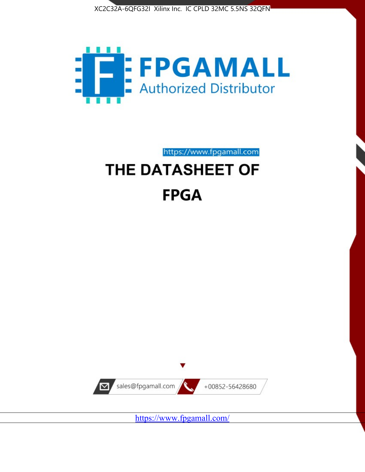



https://www.fpgamall.com THE DATASHEET OF

# **FPGA**



<https://www.fpgamall.com/>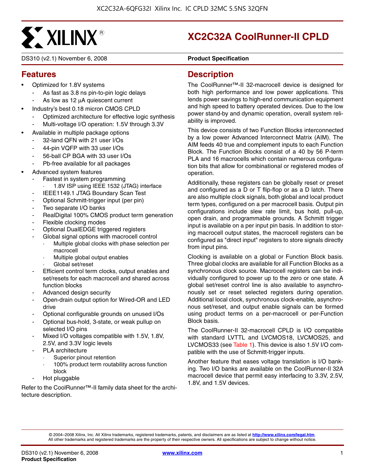

DS310 (v2.1) November 6, 2008 **DS310 (v2.1)** Product Specification

## **XC2C32A CoolRunner-II CPLD**

#### **Features**

- Optimized for 1.8V systems
	- As fast as 3.8 ns pin-to-pin logic delays
	- As low as 12 μA quiescent current
- Industry's best 0.18 micron CMOS CPLD
	- Optimized architecture for effective logic synthesis
	- Multi-voltage I/O operation: 1.5V through 3.3V
- Available in multiple package options
	- 32-land QFN with 21 user I/Os
	- 44-pin VQFP with 33 user I/Os
	- 56-ball CP BGA with 33 user I/Os
	- Pb-free available for all packages
- Advanced system features
	- Fastest in system programming
		- 1.8V ISP using IEEE 1532 (JTAG) interface
		- IEEE1149.1 JTAG Boundary Scan Test
	- Optional Schmitt-trigger input (per pin)
	- Two separate I/O banks
	- RealDigital 100% CMOS product term generation
	- Flexible clocking modes
	- Optional DualEDGE triggered registers
	- Global signal options with macrocell control
		- Multiple global clocks with phase selection per macrocell
		- Multiple global output enables
		- Global set/reset
	- Efficient control term clocks, output enables and set/resets for each macrocell and shared across function blocks
	- Advanced design security
	- Open-drain output option for Wired-OR and LED drive
	- Optional configurable grounds on unused I/Os
	- Optional bus-hold, 3-state, or weak pullup on selected I/O pins
	- Mixed I/O voltages compatible with 1.5V, 1.8V, 2.5V, and 3.3V logic levels
	- PLA architecture
		- Superior pinout retention
		- 100% product term routability across function block
	- Hot pluggable

Refer to the CoolRunner™-II family data sheet for the architecture description.

#### **Description**

The CoolRunner™-II 32-macrocell device is designed for both high performance and low power applications. This lends power savings to high-end communication equipment and high speed to battery operated devices. Due to the low power stand-by and dynamic operation, overall system reliability is improved.

This device consists of two Function Blocks interconnected by a low power Advanced Interconnect Matrix (AIM). The AIM feeds 40 true and complement inputs to each Function Block. The Function Blocks consist of a 40 by 56 P-term PLA and 16 macrocells which contain numerous configuration bits that allow for combinational or registered modes of operation.

Additionally, these registers can be globally reset or preset and configured as a D or T flip-flop or as a D latch. There are also multiple clock signals, both global and local product term types, configured on a per macrocell basis. Output pin configurations include slew rate limit, bus hold, pull-up, open drain, and programmable grounds. A Schmitt trigger input is available on a per input pin basis. In addition to storing macrocell output states, the macrocell registers can be configured as "direct input" registers to store signals directly from input pins.

Clocking is available on a global or Function Block basis. Three global clocks are available for all Function Blocks as a synchronous clock source. Macrocell registers can be individually configured to power up to the zero or one state. A global set/reset control line is also available to asynchronously set or reset selected registers during operation. Additional local clock, synchronous clock-enable, asynchronous set/reset, and output enable signals can be formed using product terms on a per-macrocell or per-Function Block basis.

The CoolRunner-II 32-macrocell CPLD is I/O compatible with standard LVTTL and LVCMOS18, LVCMOS25, and LVCMOS33 (see Table 1). This device is also 1.5V I/O compatible with the use of Schmitt-trigger inputs.

Another feature that eases voltage translation is I/O banking. Two I/O banks are available on the CoolRunner-II 32A macrocell device that permit easy interfacing to 3.3V, 2.5V, 1.8V, and 1.5V devices.

© 2004–2008 Xilinx, Inc. All Xilinx trademarks, registered trademarks, patents, and disclaimers are as listed at **<http://www.xilinx.com/legal.htm>**. All other trademarks and registered trademarks are the property of their respective owners. All specifications are subject to change without notice.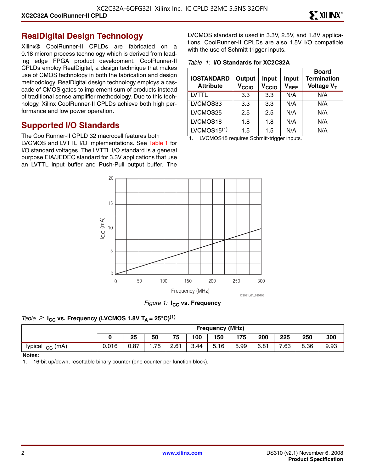#### **RealDigital Design Technology**

Xilinx® CoolRunner-II CPLDs are fabricated on a 0.18 micron process technology which is derived from leading edge FPGA product development. CoolRunner-II CPLDs employ RealDigital, a design technique that makes use of CMOS technology in both the fabrication and design methodology. RealDigital design technology employs a cascade of CMOS gates to implement sum of products instead of traditional sense amplifier methodology. Due to this technology, Xilinx CoolRunner-II CPLDs achieve both high performance and low power operation.

#### **Supported I/O Standards**

The CoolRunner-II CPLD 32 macrocell features both LVCMOS and LVTTL I/O implementations. See Table 1 for I/O standard voltages. The LVTTL I/O standard is a general purpose EIA/JEDEC standard for 3.3V applications that use an LVTTL input buffer and Push-Pull output buffer. The LVCMOS standard is used in 3.3V, 2.5V, and 1.8V applications. CoolRunner-II CPLDs are also 1.5V I/O compatible with the use of Schmitt-trigger inputs.

*Table 1:* **I/O Standards for XC2C32A**

| <b>IOSTANDARD</b><br><b>Attribute</b> | Output<br>V <sub>CCIO</sub> | Input<br>V <sub>CCIO</sub> | <b>Input</b><br>$V_{REF}$ | <b>Board</b><br><b>Termination</b><br>Voltage V <sub>T</sub> |
|---------------------------------------|-----------------------------|----------------------------|---------------------------|--------------------------------------------------------------|
| LVTTL                                 | 3.3                         | 3.3                        | N/A                       | N/A                                                          |
| LVCMOS33                              | 3.3                         | 3.3                        | N/A                       | N/A                                                          |
| LVCMOS25                              | $2.5\,$                     | 2.5                        | N/A                       | N/A                                                          |
| LVCMOS18                              | 1.8                         | 1.8                        | N/A                       | N/A                                                          |
| LVCMOS15 $(1)$                        | 1.5                         | 1.5                        | N/A                       | N/A                                                          |

1. LVCMOS15 requires Schmitt-trigger inputs.



*Figure 1:* **I<sub>CC</sub>** vs. Frequency

#### *Table 2:* **I<sub>CC</sub>** vs. Frequency (LVCMOS 1.8V T<sub>A</sub> = 25°C)<sup>(1)</sup>

|                              |       | <b>Frequency (MHz)</b> |     |      |      |                                  |      |      |      |      |      |
|------------------------------|-------|------------------------|-----|------|------|----------------------------------|------|------|------|------|------|
|                              |       | 25                     | 50  | 75   | 100  | 150                              | 175  | 200  | 225  | 250  | 300  |
| Typical I <sub>CC</sub> (mA) | 0.016 | 0.87                   | .75 | 2.61 | 3.44 | $\overline{\phantom{0}}$<br>5.16 | 5.99 | 6.81 | 7.63 | 8.36 | 9.93 |

#### **Notes:**

1. 16-bit up/down, resettable binary counter (one counter per function block).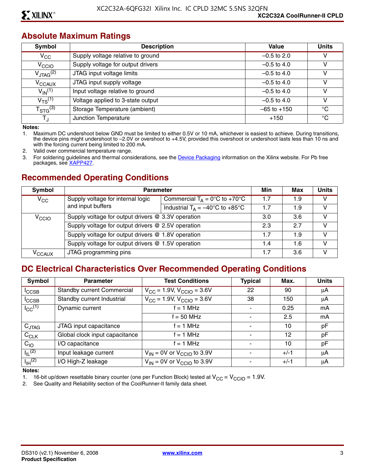#### **Absolute Maximum Ratings**

| Symbol                  | <b>Description</b>                | Value           | <b>Units</b> |
|-------------------------|-----------------------------------|-----------------|--------------|
| $V_{\rm CC}$            | Supply voltage relative to ground | $-0.5$ to 2.0   | v            |
| V <sub>CCIO</sub>       | Supply voltage for output drivers | $-0.5$ to 4.0   | v            |
| $V_{\text{JTAG}}^{(2)}$ | JTAG input voltage limits         | $-0.5$ to 4.0   | v            |
| V <sub>CCAUX</sub>      | JTAG input supply voltage         | $-0.5$ to 4.0   | v            |
| $V_{\text{IN}}^{(1)}$   | Input voltage relative to ground  | $-0.5$ to 4.0   | v            |
| $V_{TS}^{(1)}$          | Voltage applied to 3-state output | $-0.5$ to 4.0   | v            |
| $T_{\text{STG}}^{(3)}$  | Storage Temperature (ambient)     | $-65$ to $+150$ | °C           |
| TJ                      | Junction Temperature              | $+150$          | °C           |

**Notes:** 

1. Maximum DC undershoot below GND must be limited to either 0.5V or 10 mA, whichever is easiest to achieve. During transitions, the device pins might undershoot to –2.0V or overshoot to +4.5V, provided this overshoot or undershoot lasts less than 10 ns and with the forcing current being limited to 200 mA.

2. Valid over commercial temperature range.

3. For soldering guidelines and thermal considerations, see the [Device Packaging](http://www.xilinx.com/support/documentation/package_specifications.htm) information on the Xilinx website. For Pb free packages, see [XAPP427](http://www.xilinx.com/support/documentation/application_notes/xapp427.pdf).

#### **Recommended Operating Conditions**

| Symbol              | <b>Parameter</b>                                                      |                                                   |     | Max | <b>Units</b> |
|---------------------|-----------------------------------------------------------------------|---------------------------------------------------|-----|-----|--------------|
| $V_{\rm CC}$        | Supply voltage for internal logic<br>Commercial $T_A = 0$ °C to +70°C |                                                   | 1.7 | 1.9 | v            |
|                     | and input buffers                                                     | Industrial $T_A = -40^{\circ}C$ to $+85^{\circ}C$ | 1.7 | 1.9 | v            |
| V <sub>CCIO</sub>   | Supply voltage for output drivers @ 3.3V operation                    |                                                   | 3.0 | 3.6 | V            |
|                     | Supply voltage for output drivers @ 2.5V operation                    |                                                   | 2.3 | 2.7 | V            |
|                     | Supply voltage for output drivers @ 1.8V operation                    |                                                   | 1.7 | 1.9 | V            |
|                     | Supply voltage for output drivers @ 1.5V operation                    |                                                   | 1.4 | 1.6 | V            |
| $\rm v_{\rm CCAUX}$ | JTAG programming pins                                                 |                                                   | 1.7 | 3.6 | v            |

#### **DC Electrical Characteristics Over Recommended Operating Conditions**

| <b>Symbol</b>           | <b>Parameter</b>                  | <b>Test Conditions</b>                     | <b>Typical</b> | Max.   | <b>Units</b> |
|-------------------------|-----------------------------------|--------------------------------------------|----------------|--------|--------------|
| <sup>I</sup> CCSB       | <b>Standby current Commercial</b> | $V_{\rm CC}$ = 1.9V, $V_{\rm CCIO}$ = 3.6V | 22             | 90     | μA           |
| $I_{\text{CCSB}}$       | Standby current Industrial        | $V_{CC}$ = 1.9V, $V_{CCIO}$ = 3.6V         | 38             | 150    | μA           |
| $I_{CC}$ <sup>(1)</sup> | Dynamic current                   | $f = 1 MHz$                                |                | 0.25   | mA           |
|                         |                                   | $f = 50$ MHz                               |                | 2.5    | mA           |
| $C_{JTAG}$              | JTAG input capacitance            | f = 1 MHz                                  |                | 10     | pF           |
| $C_{CLK}$               | Global clock input capacitance    | f = 1 MHz                                  |                | 12     | pF           |
| $C_{10}$                | I/O capacitance                   | $f = 1$ MHz                                |                | 10     | pF           |
| $I_{\parallel}$ (2)     | Input leakage current             | $V_{IN}$ = 0V or $V_{CClO}$ to 3.9V        |                | $+/-1$ | μA           |
| $I_{\text{IH}}^{(2)}$   | I/O High-Z leakage                | $V_{IN}$ = 0V or $V_{CClO}$ to 3.9V        |                | $+/-1$ | μA           |

**Notes:** 

1. 16-bit up/down resettable binary counter (one per Function Block) tested at  $V_{CC} = V_{CCIO} = 1.9V$ .<br>2. See Quality and Reliability section of the CoolRunner-II family data sheet.

See Quality and Reliability section of the CoolRunner-II family data sheet.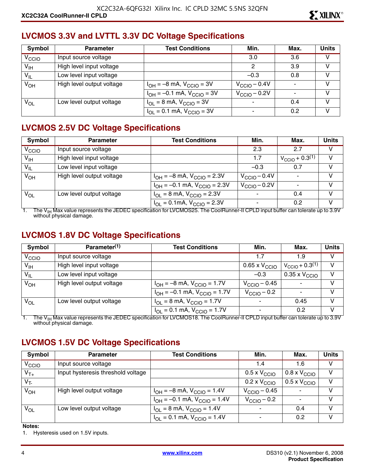#### **LVCMOS 3.3V and LVTTL 3.3V DC Voltage Specifications**

| Symbol            | <b>Parameter</b>          | <b>Test Conditions</b>              | Min.                     | Max. | <b>Units</b> |
|-------------------|---------------------------|-------------------------------------|--------------------------|------|--------------|
| V <sub>CCIO</sub> | Input source voltage      |                                     | 3.0                      | 3.6  |              |
| V <sub>IH</sub>   | High level input voltage  |                                     | 2                        | 3.9  | v            |
| $V_{IL}$          | Low level input voltage   |                                     | $-0.3$                   | 0.8  | V            |
| $V_{OH}$          | High level output voltage | $I_{OH} = -8$ mA, $V_{CClO} = 3V$   | $V_{\text{CCIO}} - 0.4V$ |      | v            |
|                   |                           | $I_{OH} = -0.1$ mA, $V_{CGIO} = 3V$ | $V_{\text{CCIO}} - 0.2V$ |      | V            |
| $V_{OL}$          | Low level output voltage  | $I_{OL}$ = 8 mA, $V_{CCIO}$ = 3V    |                          | 0.4  | V            |
|                   |                           | $I_{OL} = 0.1$ mA, $V_{CCIO} = 3V$  | $\blacksquare$           | 0.2  |              |

## **LVCMOS 2.5V DC Voltage Specifications**

| Symbol            | <b>Parameter</b>          | <b>Test Conditions</b>                                             | Min.                     | Max.                          | <b>Units</b> |
|-------------------|---------------------------|--------------------------------------------------------------------|--------------------------|-------------------------------|--------------|
| V <sub>CCIO</sub> | Input source voltage      |                                                                    | 2.3                      | 2.7                           | V            |
| V <sub>IH</sub>   | High level input voltage  |                                                                    | 1.7                      | $V_{\text{CCIO}} + 0.3^{(1)}$ | $\vee$       |
| $V_{IL}$          | Low level input voltage   |                                                                    | $-0.3$                   | 0.7                           | V            |
| $V_{OH}$          | High level output voltage | $I_{OH} = -8$ mA, $V_{CGIO} = 2.3V$                                | $V_{\text{CCIO}} - 0.4V$ |                               | V            |
|                   |                           | $I_{OH} = -0.1$ mA, $V_{CGIO} = 2.3V$                              | $V_{\text{CCIO}} - 0.2V$ |                               | V            |
| $V_{OL}$          | Low level output voltage  | $I_{OL} = 8$ mA, $V_{CCIO} = 2.3V$                                 | $\overline{\phantom{a}}$ | 0.4                           | V            |
|                   |                           | $I_{\text{OI}} = 0.1 \text{mA}$ , $V_{\text{CGIO}} = 2.3 \text{V}$ |                          | 0.2                           | V            |

1. The V<sub>IH</sub> Max value represents the JEDEC specification for LVCMOS25. The CoolRunner-II CPLD input buffer can tolerate up to 3.9V without physical damage.

#### **LVCMOS 1.8V DC Voltage Specifications**

| Symbol            | Parameter <sup>(1)</sup>  | <b>Test Conditions</b>                | Min.                     | Max.                          | <b>Units</b> |
|-------------------|---------------------------|---------------------------------------|--------------------------|-------------------------------|--------------|
| V <sub>CCIO</sub> | Input source voltage      |                                       | 1.7                      | 1.9                           | v            |
| $V_{\text{IH}}$   | High level input voltage  |                                       | 0.65 x $\rm V_{\rm CCO}$ | $V_{\text{CCIO}} + 0.3^{(1)}$ | V            |
| $V_{IL}$          | Low level input voltage   |                                       | $-0.3$                   | $0.35 \times V_{\text{CCIO}}$ | $\vee$       |
| $V_{OH}$          | High level output voltage | $I_{OH} = -8$ mA, $V_{CGIO} = 1.7V$   | $V_{\rm CClO}$ – 0.45    |                               | V            |
|                   |                           | $I_{OH} = -0.1$ mA, $V_{CCIO} = 1.7V$ | $V_{\rm CClO}$ – 0.2     |                               | V            |
| $V_{OL}$          | Low level output voltage  | $I_{OL} = 8$ mA, $V_{CCIO} = 1.7V$    |                          | 0.45                          | V            |
|                   |                           | $I_{OL} = 0.1$ mA, $V_{CCIO} = 1.7V$  | $\overline{\phantom{a}}$ | 0.2                           | V            |

1. The V<sub>IH</sub> Max value represents the JEDEC specification for LVCMOS18. The CoolRunner-II CPLD input buffer can tolerate up to 3.9V<br>without physical damage.

## **LVCMOS 1.5V DC Voltage Specifications**

| Symbol            | <b>Parameter</b>                   | <b>Test Conditions</b>                                               | Min.                         | Max.                         | <b>Units</b> |
|-------------------|------------------------------------|----------------------------------------------------------------------|------------------------------|------------------------------|--------------|
| V <sub>CCIO</sub> | Input source voltage               |                                                                      | 1.4                          | 1.6                          | v            |
| $V_{T+}$          | Input hysteresis threshold voltage |                                                                      | $0.5 \times V_{\text{CCIO}}$ | $0.8 \times V_{\text{CCIO}}$ | v            |
| $V_T$             |                                    |                                                                      | $0.2 \times V_{\text{CCIO}}$ | $0.5 \times V_{\text{CCIO}}$ | v            |
| $V_{OH}$          | High level output voltage          | $I_{OH} = -8$ mA, $V_{CCIO} = 1.4V$                                  | $V_{\text{CCIO}} - 0.45$     |                              | v            |
|                   |                                    | $I_{OH} = -0.1$ mA, $V_{CCIO} = 1.4V$                                | $V_{\rm CClO}$ – 0.2         |                              | V            |
| $V_{OL}$          | Low level output voltage           | $I_{\text{OI}} = 8 \text{ mA}$ , $V_{\text{CCIO}} = 1.4 \text{ V}$   |                              | 0.4                          | v            |
|                   |                                    | $I_{\text{OI}} = 0.1 \text{ mA}$ , $V_{\text{CCIO}} = 1.4 \text{ V}$ |                              | 0.2                          | v            |

#### **Notes:**

1. Hysteresis used on 1.5V inputs.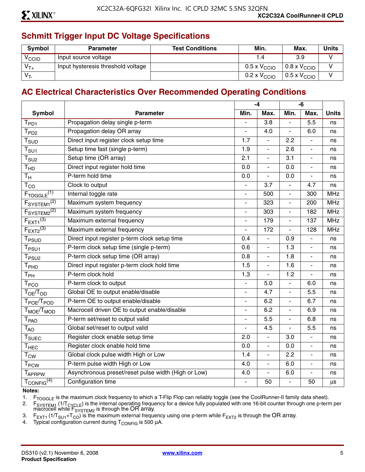## **Schmitt Trigger Input DC Voltage Specifications**

| <b>Symbol</b>     | <b>Parameter</b>                   | <b>Test Conditions</b> | Min.                         | Max.                         | <b>Units</b> |
|-------------------|------------------------------------|------------------------|------------------------------|------------------------------|--------------|
| <sup>V</sup> CCIO | Input source voltage               |                        |                              | 3.9                          |              |
| $V_{T+}$          | Input hysteresis threshold voltage |                        | $0.5 \times V_{\text{CCIO}}$ | $0.8 \times V_{\text{CCIO}}$ |              |
| $V_T$             |                                    |                        | $0.2 \times V_{\text{CCIO}}$ | $0.5 \times V_{\text{CCIO}}$ |              |

#### **AC Electrical Characteristics Over Recommended Operating Conditions**

|                                               |                                                     |                          | $-4$                     |                          | -6                       |              |
|-----------------------------------------------|-----------------------------------------------------|--------------------------|--------------------------|--------------------------|--------------------------|--------------|
| <b>Symbol</b>                                 | <b>Parameter</b>                                    | Min.                     | Max.                     | Min.                     | Max.                     | <b>Units</b> |
| $T_{PD1}$                                     | Propagation delay single p-term                     |                          | $\overline{3.8}$         | L.                       | $\overline{5.5}$         | ns           |
| T <sub>PD2</sub>                              | Propagation delay OR array                          |                          | 4.0                      | $\overline{a}$           | 6.0                      | ns           |
| $\mathsf{T}_{\textsf{SUD}}$                   | Direct input register clock setup time              | 1.7                      | $\blacksquare$           | 2.2                      | $\blacksquare$           | ns           |
| $\mathsf{T}_{\mathsf{S}\mathsf{U}\mathsf{1}}$ | Setup time fast (single p-term)                     | 1.9                      | ÷,                       | 2.6                      | $\blacksquare$           | ns           |
| $T_{\mathsf{SU2}}$                            | Setup time (OR array)                               | $\overline{2.1}$         | $\overline{a}$           | 3.1                      | $\overline{a}$           | ns           |
| T <sub>HD</sub>                               | Direct input register hold time                     | 0.0                      | $\blacksquare$           | 0.0                      | $\blacksquare$           | ns           |
| $T_{\mathsf{H}}$                              | P-term hold time                                    | 0.0                      | ÷,                       | 0.0                      | $\blacksquare$           | ns           |
| $T_{CO}$                                      | Clock to output                                     |                          | 3.7                      | $\overline{a}$           | 4.7                      | ns           |
| $F_{TOGGLE}$ <sup>(1)</sup>                   | Internal toggle rate                                | $\overline{\phantom{a}}$ | 500                      | ä,                       | 300                      | <b>MHz</b>   |
| F <sub>SYSTEM1</sub> <sup>(2)</sup>           | Maximum system frequency                            | $\overline{\phantom{a}}$ | 323                      | $\overline{\phantom{a}}$ | 200                      | <b>MHz</b>   |
| F <sub>S</sub> YSTEM2 <sup>(2)</sup>          | Maximum system frequency                            |                          | 303                      | $\overline{a}$           | 182                      | <b>MHz</b>   |
| $F_{\text{EXT}1}^{(3)}$                       | Maximum external frequency                          |                          | 179                      | $\overline{a}$           | 137                      | <b>MHz</b>   |
| $F_{EXT2}^{(3)}$                              | Maximum external frequency                          | $\blacksquare$           | 172                      | $\overline{a}$           | 128                      | <b>MHz</b>   |
| T <sub>PSUD</sub>                             | Direct input register p-term clock setup time       | 0.4                      | $\overline{\phantom{a}}$ | 0.9                      | $\blacksquare$           | ns           |
| $\mathsf{T}_{\mathsf{PSU1}}$                  | P-term clock setup time (single p-term)             | 0.6                      | $\overline{\phantom{a}}$ | 1.3                      | $\blacksquare$           | ns           |
| T <sub>PSU2</sub>                             | P-term clock setup time (OR array)                  | 0.8                      | ÷,                       | 1.8                      | $\blacksquare$           | ns           |
| T <sub>PHD</sub>                              | Direct input register p-term clock hold time        | 1.5                      | $\overline{a}$           | 1.6                      | $\blacksquare$           | ns           |
| $\mathsf{T}_{\mathsf{PH}}$                    | P-term clock hold                                   | 1.3                      | ÷,                       | 1.2                      | $\blacksquare$           | ns           |
| T <sub>PCO</sub>                              | P-term clock to output                              | $\overline{a}$           | 5.0                      | $\overline{a}$           | 6.0                      | ns           |
| $T_{OE}/T_{OD}$                               | Global OE to output enable/disable                  |                          | 4.7                      | $\overline{a}$           | 5.5                      | ns           |
| T <sub>POE</sub> /T <sub>POD</sub>            | P-term OE to output enable/disable                  | $\blacksquare$           | 6.2                      | $\blacksquare$           | 6.7                      | ns           |
| T <sub>MOE</sub> /T <sub>MOD</sub>            | Macrocell driven OE to output enable/disable        | $\blacksquare$           | 6.2                      | ä,                       | 6.9                      | ns           |
| <b>T</b> <sub>PAO</sub>                       | P-term set/reset to output valid                    |                          | $\overline{5.5}$         | $\overline{a}$           | 6.8                      | ns           |
| $T_{AO}$                                      | Global set/reset to output valid                    |                          | 4.5                      | ÷,                       | 5.5                      | ns           |
| $\mathsf{T}_{\mathsf{SUEC}}$                  | Register clock enable setup time                    | 2.0                      | $\frac{1}{2}$            | 3.0                      | $\blacksquare$           | ns           |
| $T_{HEC}$                                     | Register clock enable hold time                     | 0.0                      | $\overline{a}$           | 0.0                      | $\overline{a}$           | ns           |
| $\mathsf{T}_{\mathsf{CW}}$                    | Global clock pulse width High or Low                | 1.4                      | $\overline{\phantom{0}}$ | 2.2                      | $\overline{\phantom{a}}$ | ns           |
| <b>T</b> <sub>PCW</sub>                       | P-term pulse width High or Low                      | 4.0                      | $\overline{\phantom{0}}$ | 6.0                      | $\blacksquare$           | ns           |
| <b>TAPRPW</b>                                 | Asynchronous preset/reset pulse width (High or Low) | 4.0                      | $\overline{a}$           | 6.0                      | $\overline{a}$           | ns           |
| $T_{\text{CONFIG}}^{(4)}$                     | Configuration time                                  | $\overline{\phantom{a}}$ | 50                       | $\blacksquare$           | 50                       | μs           |

**Notes:** 

1. F<sub>TOGGLE</sub> is the maximum clock frequency to which a T-Flip Flop can reliably toggle (see the CoolRunner-II family data sheet).<br>2. F<sub>SYSTEM1</sub> (1/T<sub>CYCLE</sub>) is the internal operating frequency for a device fully populated

2. F<sub>SYSTEM1</sub> (1/T<sub>CYCLE</sub>) is the internal operating frequency for a device fully populated with one 16-bit counter through one p-term per macrocell while  $F_{\text{SYSTEM2}}$  is through the OR array.

3. F<sub>EXT1</sub> (1/T<sub>SU1</sub>+T<sub>CO</sub>) is the maximum external frequency using one p-term while F<sub>EXT2</sub> is through the OR array.<br>4. Typical configuration current during T<sub>CONFIG</sub> is 500 µA.

Typical configuration current during  $T_{\text{CONFIG}}$  is 500  $\mu$ A.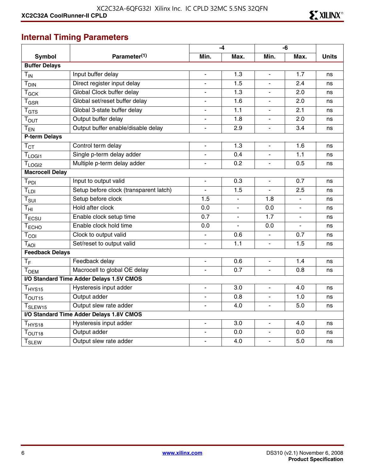## **Internal Timing Parameters**

|                         |                                          | -4                       |                |                          | -6             |              |
|-------------------------|------------------------------------------|--------------------------|----------------|--------------------------|----------------|--------------|
| <b>Symbol</b>           | Parameter <sup>(1)</sup>                 | Min.                     | Max.           | Min.                     | Max.           | <b>Units</b> |
| <b>Buffer Delays</b>    |                                          |                          |                |                          |                |              |
| $T_{IN}$                | Input buffer delay                       | $\blacksquare$           | 1.3            | ÷,                       | 1.7            | ns           |
| T <sub>DIN</sub>        | Direct register input delay              | $\mathbf{r}$             | 1.5            | $\overline{a}$           | 2.4            | ns           |
| $T_{GCK}$               | Global Clock buffer delay                | $\overline{a}$           | 1.3            |                          | 2.0            | ns           |
| $T_{\tiny{\text{GSR}}}$ | Global set/reset buffer delay            | $\blacksquare$           | 1.6            | ÷,                       | 2.0            | ns           |
| T <sub>GTS</sub>        | Global 3-state buffer delay              | $\overline{\phantom{a}}$ | 1.1            | ä,                       | 2.1            | ns           |
| $T_{\text{OUT}}$        | Output buffer delay                      | $\overline{\phantom{a}}$ | 1.8            | $\overline{\phantom{a}}$ | 2.0            | ns           |
| $T_{EN}$                | Output buffer enable/disable delay       | $\blacksquare$           | 2.9            | ÷,                       | 3.4            | ns           |
| <b>P-term Delays</b>    |                                          |                          |                |                          |                |              |
| $T_{CT}$                | Control term delay                       | $\blacksquare$           | 1.3            | ÷.                       | 1.6            | ns           |
| $T_{LOGI1}$             | Single p-term delay adder                | $\blacksquare$           | 0.4            | ä,                       | 1.1            | ns           |
| $T_{LOGI2}$             | Multiple p-term delay adder              | $\blacksquare$           | 0.2            | ÷.                       | 0.5            | ns           |
| <b>Macrocell Delay</b>  |                                          |                          |                |                          |                |              |
| $T_{PDI}$               | Input to output valid                    | $\blacksquare$           | 0.3            |                          | 0.7            | ns           |
| $T_{LDI}$               | Setup before clock (transparent latch)   | $\blacksquare$           | 1.5            | ÷,                       | 2.5            | ns           |
| $T_{\sf SUI}$           | Setup before clock                       | 1.5                      | $\blacksquare$ | 1.8                      | $\blacksquare$ | ns           |
| $T_{\rm HI}$            | Hold after clock                         | 0.0                      | $\blacksquare$ | 0.0                      | $\blacksquare$ | ns           |
| $T_{ECSU}$              | Enable clock setup time                  | 0.7                      |                | 1.7                      |                | ns           |
| T <sub>ECHO</sub>       | Enable clock hold time                   | 0.0                      |                | 0.0                      | $\blacksquare$ | ns           |
| $T_{COI}$               | Clock to output valid                    | $\blacksquare$           | 0.6            |                          | 0.7            | ns           |
| $T_{AOI}$               | Set/reset to output valid                | $\blacksquare$           | 1.1            | $\overline{\phantom{0}}$ | 1.5            | ns           |
| <b>Feedback Delays</b>  |                                          |                          |                |                          |                |              |
| $T_F$                   | Feedback delay                           |                          | 0.6            |                          | 1.4            | ns           |
| T <sub>OEM</sub>        | Macrocell to global OE delay             | $\blacksquare$           | 0.7            | $\overline{\phantom{0}}$ | 0.8            | ns           |
|                         | I/O Standard Time Adder Delays 1.5V CMOS |                          |                |                          |                |              |
| T <sub>HYS15</sub>      | Hysteresis input adder                   | $\blacksquare$           | 3.0            | ÷,                       | 4.0            | ns           |
| $T_{\text{OUT15}}$      | Output adder                             | $\blacksquare$           | 0.8            | $\overline{a}$           | 1.0            | ns           |
| T <sub>SLEW15</sub>     | Output slew rate adder                   |                          | 4.0            |                          | 5.0            | ns           |
|                         | I/O Standard Time Adder Delays 1.8V CMOS |                          |                |                          |                |              |
| T <sub>HYS18</sub>      | Hysteresis input adder                   | $\blacksquare$           | 3.0            | ÷,                       | 4.0            | ns           |
| T <sub>OUT18</sub>      | Output adder                             | $\overline{\phantom{a}}$ | 0.0            | ÷,                       | 0.0            | ns           |
| <b>T<sub>SLEW</sub></b> | Output slew rate adder                   |                          | 4.0            | $\overline{a}$           | 5.0            | ns           |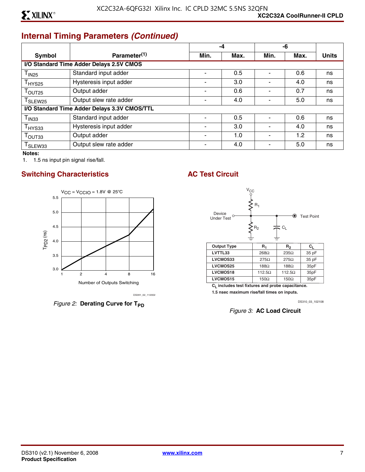## **Internal Timing Parameters** *(Continued)*

|                               |                                              |                          | -4   |      | -6   |              |
|-------------------------------|----------------------------------------------|--------------------------|------|------|------|--------------|
| <b>Symbol</b>                 | Parameter <sup>(1)</sup>                     | Min.                     | Max. | Min. | Max. | <b>Units</b> |
|                               | I/O Standard Time Adder Delays 2.5V CMOS     |                          |      |      |      |              |
| T <sub>IN25</sub>             | Standard input adder                         |                          | 0.5  |      | 0.6  | ns           |
| $\mathsf{T}_{\mathsf{HYS25}}$ | Hysteresis input adder                       | $\overline{\phantom{0}}$ | 3.0  |      | 4.0  | ns           |
| $T_{\text{OUT25}}$            | Output adder                                 | ۰                        | 0.6  |      | 0.7  | ns           |
| T <sub>SLEW25</sub>           | Output slew rate adder                       |                          | 4.0  |      | 5.0  | ns           |
|                               | I/O Standard Time Adder Delays 3.3V CMOS/TTL |                          |      |      |      |              |
| $\mathsf{T}_{\mathsf{IN33}}$  | Standard input adder                         |                          | 0.5  |      | 0.6  | ns           |
| $T_{HYS33}$                   | Hysteresis input adder                       |                          | 3.0  |      | 4.0  | ns           |
| Т <sub>ОUТ33</sub>            | Output adder                                 |                          | 1.0  |      | 1.2  | ns           |
| I SLEW33                      | Output slew rate adder                       |                          | 4.0  |      | 5.0  | ns           |

**Notes:** 

1. 1.5 ns input pin signal rise/fall.

#### **Switching Characteristics AC Test Circuit**



*Figure 2:* Derating Curve for T<sub>PD</sub>



**CL includes test fixtures and probe capacitance.** 

**1.5 nsec maximum rise/fall times on inputs.**

DS310\_03\_102108

*Figure 3:* **AC Load Circuit**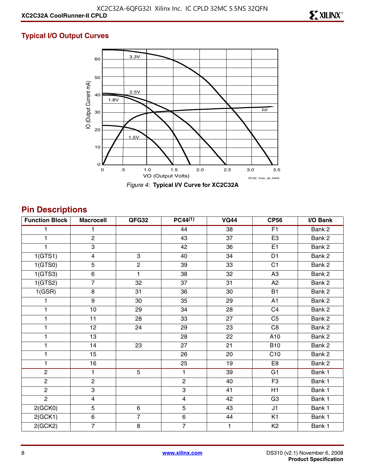#### **Typical I/O Output Curves**



**Pin Descriptions**

| <b>Function Block</b> | <b>Macrocell</b>        | QFG32          | PC44 <sup>(1)</sup> | <b>VQ44</b>     | <b>CP56</b>    | I/O Bank |
|-----------------------|-------------------------|----------------|---------------------|-----------------|----------------|----------|
|                       | 1.                      |                | 44                  | 38              | F <sub>1</sub> | Bank 2   |
| 1                     | $\overline{2}$          |                | 43                  | 37              | E <sub>3</sub> | Bank 2   |
|                       | 3                       |                | 42                  | 36              | E1             | Bank 2   |
| 1(GTS1)               | $\overline{\mathbf{4}}$ | 3              | 40                  | 34              | D <sub>1</sub> | Bank 2   |
| 1(GTS0)               | 5                       | $\overline{2}$ | 39                  | 33              | C <sub>1</sub> | Bank 2   |
| 1(GTS3)               | 6                       | 1              | 38                  | 32              | A <sub>3</sub> | Bank 2   |
| 1(GTS2)               | $\overline{7}$          | 32             | 37                  | 31              | A2             | Bank 2   |
| 1(GSR)                | 8                       | 31             | 36                  | 30              | <b>B1</b>      | Bank 2   |
|                       | 9                       | 30             | 35                  | 29              | A1             | Bank 2   |
| 1                     | $10$                    | 29             | 34                  | 28              | C <sub>4</sub> | Bank 2   |
| 1                     | 11                      | 28             | 33                  | 27              | C <sub>5</sub> | Bank 2   |
| 1                     | 12                      | 24             | 29                  | 23              | C <sub>8</sub> | Bank 2   |
| 1                     | 13                      |                | 28                  | 22              | A10            | Bank 2   |
| 1                     | 14                      | 23             | 27                  | 21              | <b>B10</b>     | Bank 2   |
| 1                     | 15                      |                | 26                  | 20              | C10            | Bank 2   |
| 1                     | 16                      |                | 25                  | 19              | E <sub>8</sub> | Bank 2   |
| $\overline{2}$        | $\mathbf{1}$            | $\overline{5}$ | $\mathbf{1}$        | $\overline{39}$ | G1             | Bank 1   |
| $\overline{c}$        | $\overline{c}$          |                | $\mathbf{2}$        | 40              | F <sub>3</sub> | Bank 1   |
| $\overline{2}$        | 3                       |                | $\overline{3}$      | 41              | H1             | Bank 1   |
| $\overline{2}$        | $\overline{\mathbf{4}}$ |                | $\overline{4}$      | 42              | G <sub>3</sub> | Bank 1   |
| 2(GCKO)               | 5                       | 6              | 5                   | 43              | J1             | Bank 1   |
| 2(GCK1)               | 6                       | $\overline{7}$ | 6                   | 44              | K <sub>1</sub> | Bank 1   |
| 2(GCK2)               | $\overline{7}$          | 8              | $\overline{7}$      | 1               | K <sub>2</sub> | Bank 1   |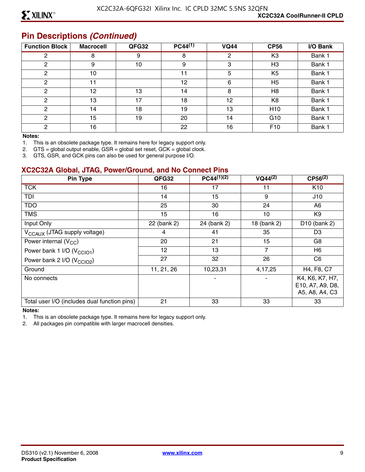#### **Pin Descriptions** *(Continued)*

| <b>Function Block</b> | <b>Macrocell</b> | QFG32 | $PC44^{(1)}$ | <b>VQ44</b> | <b>CP56</b>     | I/O Bank |
|-----------------------|------------------|-------|--------------|-------------|-----------------|----------|
| 2                     | 8                | 9     | 8            | 2           | K <sub>3</sub>  | Bank 1   |
| 2                     | 9                | 10    | 9            | 3           | H <sub>3</sub>  | Bank 1   |
| 2                     | 10               |       | 11           | 5           | K <sub>5</sub>  | Bank 1   |
| ◠                     | 11               |       | 12           | 6           | H <sub>5</sub>  | Bank 1   |
| $\mathcal{P}$         | 12               | 13    | 14           | 8           | H <sub>8</sub>  | Bank 1   |
| $\mathcal{P}$         | 13               | 17    | 18           | 12          | K <sub>8</sub>  | Bank 1   |
| 2                     | 14               | 18    | 19           | 13          | H <sub>10</sub> | Bank 1   |
| 2                     | 15               | 19    | 20           | 14          | G <sub>10</sub> | Bank 1   |
| C.                    | 16               |       | 22           | 16          | F <sub>10</sub> | Bank 1   |

#### **Notes:**

1. This is an obsolete package type. It remains here for legacy support only.

2. GTS = global output enable, GSR = global set reset, GCK = global clock.

3. GTS, GSR, and GCK pins can also be used for general purpose I/O.

#### **XC2C32A Global, JTAG, Power/Ground, and No Connect Pins**

| Pin Type                                     | QFG32       | $PC44^{(1)(2)}$ | $VQ44^{(2)}$   | $CP56^{(2)}$                                          |
|----------------------------------------------|-------------|-----------------|----------------|-------------------------------------------------------|
| <b>TCK</b>                                   | 16          | 17              |                | K <sub>10</sub>                                       |
| TDI                                          | 14          | 15              | 9              | J10                                                   |
| <b>TDO</b>                                   | 25          | 30              | 24             | A6                                                    |
| <b>TMS</b>                                   | 15          | 16              | 10             | K9                                                    |
| Input Only                                   | 22 (bank 2) | 24 (bank 2)     | 18 (bank 2)    | D <sub>10</sub> (bank 2)                              |
| V <sub>CCAUX</sub> (JTAG supply voltage)     | 4           | 41              | 35             | D <sub>3</sub>                                        |
| Power internal $(V_{CC})$                    | 20          | 21              | 15             | G8                                                    |
| Power bank 1 I/O (V <sub>CCIO1</sub> )       | 12          | 13              | $\overline{7}$ | H6                                                    |
| Power bank 2 I/O (V <sub>CCIO2</sub> )       | 27          | 32              | 26             | C <sub>6</sub>                                        |
| Ground                                       | 11, 21, 26  | 10,23,31        | 4,17,25        | H4, F8, C7                                            |
| No connects                                  |             |                 |                | K4, K6, K7, H7,<br>E10, A7, A9, D8,<br>A5, A8, A4, C3 |
| Total user I/O (includes dual function pins) | 21          | 33              | 33             | 33                                                    |

#### **Notes:**

1. This is an obsolete package type. It remains here for legacy support only.

2. All packages pin compatible with larger macrocell densities.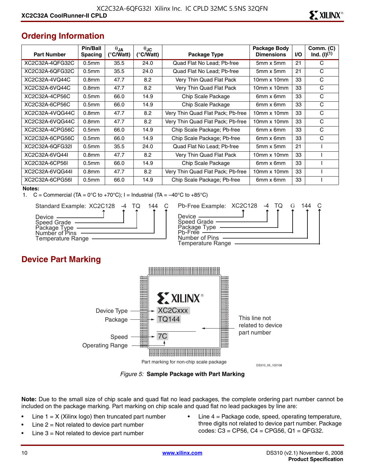## **Ordering Information**

| <b>Part Number</b> | Pin/Ball<br><b>Spacing</b> | $\theta$ JA<br>(°C/Watt) | $\theta$ JC<br>(°C/Watt) | Package Type                      | Package Body<br><b>Dimensions</b> | <b>I/O</b> | Comm. (C)<br>$Ind. (I)^{(1)}$ |
|--------------------|----------------------------|--------------------------|--------------------------|-----------------------------------|-----------------------------------|------------|-------------------------------|
| XC2C32A-4QFG32C    | 0.5 <sub>mm</sub>          | 35.5                     | 24.0                     | Quad Flat No Lead; Pb-free        | 5mm x 5mm                         | 21         | C                             |
| XC2C32A-6OFG32C    | 0.5 <sub>mm</sub>          | 35.5                     | 24.0                     | Quad Flat No Lead; Pb-free        | $5mm \times 5mm$                  | 21         | C                             |
| XC2C32A-4VQ44C     | 0.8 <sub>mm</sub>          | 47.7                     | 8.2                      | Very Thin Quad Flat Pack          | $10mm \times 10mm$                | 33         | C                             |
| XC2C32A-6VQ44C     | 0.8 <sub>mm</sub>          | 47.7                     | 8.2                      | Very Thin Quad Flat Pack          | $10mm \times 10mm$                | 33         | С                             |
| XC2C32A-4CP56C     | 0.5 <sub>mm</sub>          | 66.0                     | 14.9                     | Chip Scale Package                | 6mm x 6mm                         | 33         | C                             |
| XC2C32A-6CP56C     | 0.5 <sub>mm</sub>          | 66.0                     | 14.9                     | Chip Scale Package                | 6mm x 6mm                         | 33         | C                             |
| XC2C32A-4VQG44C    | 0.8 <sub>mm</sub>          | 47.7                     | 8.2                      | Very Thin Quad Flat Pack; Pb-free | $10mm \times 10mm$                | 33         | C                             |
| XC2C32A-6VQG44C    | 0.8 <sub>mm</sub>          | 47.7                     | 8.2                      | Very Thin Quad Flat Pack; Pb-free | $10mm \times 10mm$                | 33         | C                             |
| XC2C32A-4CPG56C    | 0.5 <sub>mm</sub>          | 66.0                     | 14.9                     | Chip Scale Package; Pb-free       | 6mm x 6mm                         | 33         | С                             |
| XC2C32A-6CPG56C    | 0.5 <sub>mm</sub>          | 66.0                     | 14.9                     | Chip Scale Package; Pb-free       | 6mm x 6mm                         | 33         | C                             |
| XC2C32A-6QFG32I    | 0.5 <sub>mm</sub>          | 35.5                     | 24.0                     | Quad Flat No Lead; Pb-free        | $5mm \times 5mm$                  | 21         |                               |
| XC2C32A-6VQ44I     | 0.8 <sub>mm</sub>          | 47.7                     | 8.2                      | Very Thin Quad Flat Pack          | $10mm \times 10mm$                | 33         |                               |
| XC2C32A-6CP56L     | 0.5 <sub>mm</sub>          | 66.0                     | 14.9                     | Chip Scale Package                | 6mm x 6mm                         | 33         |                               |
| XC2C32A-6VQG44I    | 0.8 <sub>mm</sub>          | 47.7                     | 8.2                      | Very Thin Quad Flat Pack; Pb-free | $10$ mm x $10$ mm                 | 33         |                               |
| XC2C32A-6CPG56I    | 0.5 <sub>mm</sub>          | 66.0                     | 14.9                     | Chip Scale Package; Pb-free       | 6mm x 6mm                         | 33         |                               |

#### **Notes:**

1.  $C =$  Commercial (TA = 0°C to +70°C); I = Industrial (TA =  $-40^{\circ}$ C to +85°C)



| 144 | Pb-Free Example: XC2C128 -4 TQ                |  |  | 144 |  |
|-----|-----------------------------------------------|--|--|-----|--|
|     | Device $\_\_$                                 |  |  |     |  |
|     | Speed Grade —<br>Package Type ——<br>Ph-Free - |  |  |     |  |
|     | Number of Pins                                |  |  |     |  |
|     | Temperature Range                             |  |  |     |  |

#### **Device Part Marking**



*Figure 5:* **Sample Package with Part Marking**

**Note:** Due to the small size of chip scale and quad flat no lead packages, the complete ordering part number cannot be included on the package marking. Part marking on chip scale and quad flat no lead packages by line are:

- Line  $1 = X$  (Xilinx logo) then truncated part number
- Line  $2 = Not$  related to device part number
- Line  $3$  = Not related to device part number
- Line  $4$  = Package code, speed, operating temperature, three digits not related to device part number. Package codes: C3 = CP56, C4 = CPG56, Q1 = QFG32.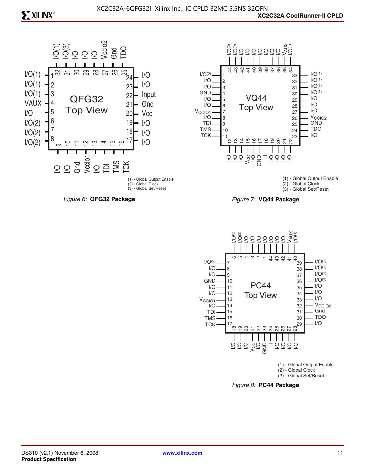



(1) - Global Output Enable (2) - Global Clock (3) - Global Set/Reset





*Figure 8:* **PC44 Package**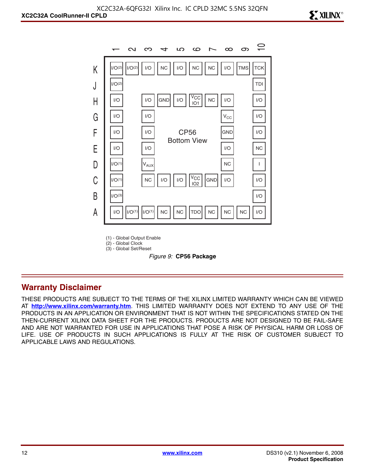

(1) - Global Output Enable

(2) - Global Clock (3) - Global Set/Reset



#### **Warranty Disclaimer**

THESE PRODUCTS ARE SUBJECT TO THE TERMS OF THE XILINX LIMITED WARRANTY WHICH CAN BE VIEWED AT **<http://www.xilinx.com/warranty.htm>**. THIS LIMITED WARRANTY DOES NOT EXTEND TO ANY USE OF THE PRODUCTS IN AN APPLICATION OR ENVIRONMENT THAT IS NOT WITHIN THE SPECIFICATIONS STATED ON THE THEN-CURRENT XILINX DATA SHEET FOR THE PRODUCTS. PRODUCTS ARE NOT DESIGNED TO BE FAIL-SAFE AND ARE NOT WARRANTED FOR USE IN APPLICATIONS THAT POSE A RISK OF PHYSICAL HARM OR LOSS OF LIFE. USE OF PRODUCTS IN SUCH APPLICATIONS IS FULLY AT THE RISK OF CUSTOMER SUBJECT TO APPLICABLE LAWS AND REGULATIONS.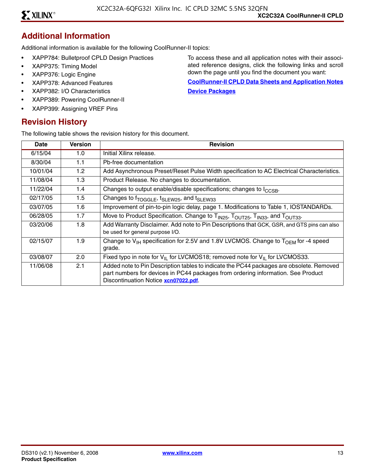#### **Additional Information**

Additional information is available for the following CoolRunner-II topics:

- XAPP784: Bulletproof CPLD Design Practices
- XAPP375: Timing Model
- XAPP376: Logic Engine
- XAPP378: Advanced Features
- XAPP382: I/O Characteristics
- XAPP389: Powering CoolRunner-II
- XAPP399: Assigning VREF Pins

#### **Revision History**

The following table shows the revision history for this document.

To access these and all application notes with their associated reference designs, click the following links and scroll down the page until you find the document you want:

**[CoolRunner-II CPLD Data Sheets and Application Notes](http://www.xilinx.com/support/documentation/coolrunner-ii.htm) [Device Packages](http://www.xilinx.com/support/documentation/package_specifications.htm)**

| Date     | <b>Version</b> | <b>Revision</b>                                                                                                                                                                                                      |
|----------|----------------|----------------------------------------------------------------------------------------------------------------------------------------------------------------------------------------------------------------------|
| 6/15/04  | 1.0            | Initial Xilinx release.                                                                                                                                                                                              |
| 8/30/04  | 1.1            | Pb-free documentation                                                                                                                                                                                                |
| 10/01/04 | 1.2            | Add Asynchronous Preset/Reset Pulse Width specification to AC Electrical Characteristics.                                                                                                                            |
| 11/08/04 | 1.3            | Product Release. No changes to documentation.                                                                                                                                                                        |
| 11/22/04 | 1.4            | Changes to output enable/disable specifications; changes to I <sub>CCSB</sub> .                                                                                                                                      |
| 02/17/05 | 1.5            | Changes to f <sub>TOGGLE</sub> , t <sub>SLEW25</sub> , and t <sub>SLEW33</sub>                                                                                                                                       |
| 03/07/05 | 1.6            | Improvement of pin-to-pin logic delay, page 1. Modifications to Table 1, IOSTANDARDs.                                                                                                                                |
| 06/28/05 | 1.7            | Move to Product Specification. Change to T <sub>IN25</sub> , T <sub>OUT25</sub> , T <sub>IN33</sub> , and T <sub>OUT33</sub> .                                                                                       |
| 03/20/06 | 1.8            | Add Warranty Disclaimer. Add note to Pin Descriptions that GCK, GSR, and GTS pins can also<br>be used for general purpose I/O.                                                                                       |
| 02/15/07 | 1.9            | Change to $V_{H}$ specification for 2.5V and 1.8V LVCMOS. Change to $T_{OFM}$ for -4 speed<br>grade.                                                                                                                 |
| 03/08/07 | 2.0            | Fixed typo in note for $V_{II}$ for LVCMOS18; removed note for $V_{II}$ for LVCMOS33.                                                                                                                                |
| 11/06/08 | 2.1            | Added note to Pin Description tables to indicate the PC44 packages are obsolete. Removed<br>part numbers for devices in PC44 packages from ordering information. See Product<br>Discontinuation Notice xcn07022.pdf. |